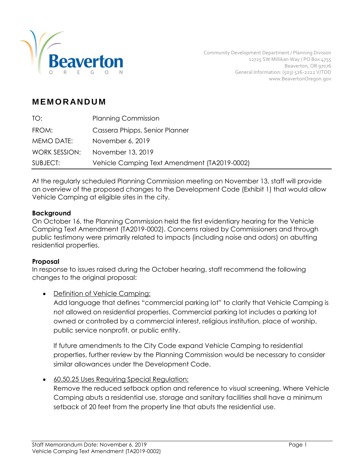

# **M EM O R AN D U M**

| TO:           | <b>Planning Commission</b>                   |
|---------------|----------------------------------------------|
| FROM:         | Cassera Phipps, Senior Planner               |
| MEMO DATE:    | November 6, 2019                             |
| WORK SESSION: | November 13, 2019                            |
| SUBJECT:      | Vehicle Camping Text Amendment (TA2019-0002) |

At the regularly scheduled Planning Commission meeting on November 13, staff will provide an overview of the proposed changes to the Development Code (Exhibit 1) that would allow Vehicle Camping at eligible sites in the city.

#### **Background**

On October 16, the Planning Commission held the first evidentiary hearing for the Vehicle Camping Text Amendment (TA2019-0002). Concerns raised by Commissioners and through public testimony were primarily related to impacts (including noise and odors) on abutting residential properties.

#### **Proposal**

In response to issues raised during the October hearing, staff recommend the following changes to the original proposal:

Definition of Vehicle Camping:

Add language that defines "commercial parking lot" to clarify that Vehicle Camping is not allowed on residential properties. Commercial parking lot includes a parking lot owned or controlled by a commercial interest, religious institution, place of worship, public service nonprofit, or public entity.

If future amendments to the City Code expand Vehicle Camping to residential properties, further review by the Planning Commission would be necessary to consider similar allowances under the Development Code.

60.50.25 Uses Requiring Special Regulation:

Remove the reduced setback option and reference to visual screening. Where Vehicle Camping abuts a residential use, storage and sanitary facilities shall have a minimum setback of 20 feet from the property line that abuts the residential use.